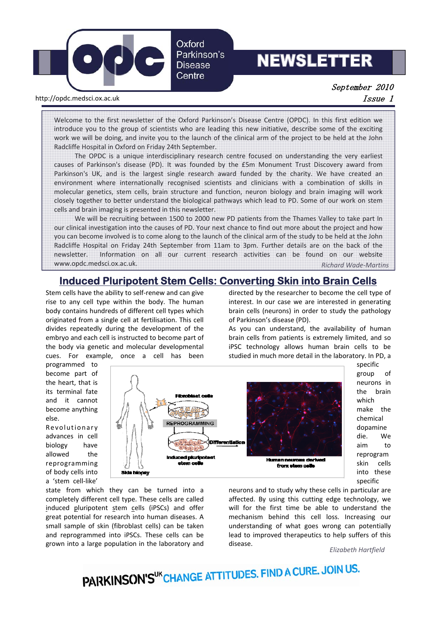

# **NEWSLETTER**

September 2010

http://opdc.medsci.ox.ac.uk issue 1 and the control of the control of the control of the control of the control of the control of the control of the control of the control of the control of the control of the control of th

Welcome to the first newsletter of the Oxford Parkinson's Disease Centre (OPDC). In this first edition we introduce you to the group of scientists who are leading this new initiative, describe some of the exciting work we will be doing, and invite you to the launch of the clinical arm of the project to be held at the John Radcliffe Hospital in Oxford on Friday 24th September.

The OPDC is a unique interdisciplinary research centre focused on understanding the very earliest causes of Parkinson's disease (PD). It was founded by the £5m Monument Trust Discovery award from Parkinson's UK, and is the largest single research award funded by the charity. We have created an environment where internationally recognised scientists and clinicians with a combination of skills in molecular genetics, stem cells, brain structure and function, neuron biology and brain imaging will work closely together to better understand the biological pathways which lead to PD. Some of our work on stem cells and brain imaging is presented in this newsletter.

We will be recruiting between 1500 to 2000 new PD patients from the Thames Valley to take part In our clinical investigation into the causes of PD. Your next chance to find out more about the project and how you can become involved is to come along to the launch of the clinical arm of the study to be held at the John Radcliffe Hospital on Friday 24th September from 11am to 3pm. Further details are on the back of the newsletter. Information on all our current research activities can be found on our website www.opdc.medsci.ox.ac.uk. *Richard Wade‐Martins*

# **Induced Pluripotent Stem Cells: Converting Skin into Brain Cells**

Stem cells have the ability to self‐renew and can give rise to any cell type within the body. The human body contains hundreds of different cell types which originated from a single cell at fertilisation. This cell divides repeatedly during the development of the embryo and each cell is instructed to become part of the body via genetic and molecular developmental cues. For example, once a cell has been

directed by the researcher to become the cell type of interest. In our case we are interested in generating brain cells (neurons) in order to study the pathology of Parkinson's disease (PD).

As you can understand, the availability of human brain cells from patients is extremely limited, and so iPSC technology allows human brain cells to be studied in much more detail in the laboratory. In PD, a

programmed to become part of the heart, that is its terminal fate and it cannot become anything else.

Revolutionary advances in cell biology have allowed the reprogramming of body cells into a 'stem cell‐like'



state from which they can be turned into a completely different cell type. These cells are called induced pluripotent stem cells (iPSCs) and offer great potential for research into human diseases. A small sample of skin (fibroblast cells) can be taken and reprogrammed into iPSCs. These cells can be grown into a large population in the laboratory and neurons and to study why these cells in particular are affected. By using this cutting edge technology, we will for the first time be able to understand the mechanism behind this cell loss. Increasing our understanding of what goes wrong can potentially lead to improved therapeutics to help suffers of this disease.

*Elizabeth Hartfield*

specific group of neurons in the brain which make the chemical dopamine die. We aim to reprogram skin cells into these specific

PARKINSON'S<sup>UK</sup>CHANGE ATTITUDES. FIND A CURE. JOIN US.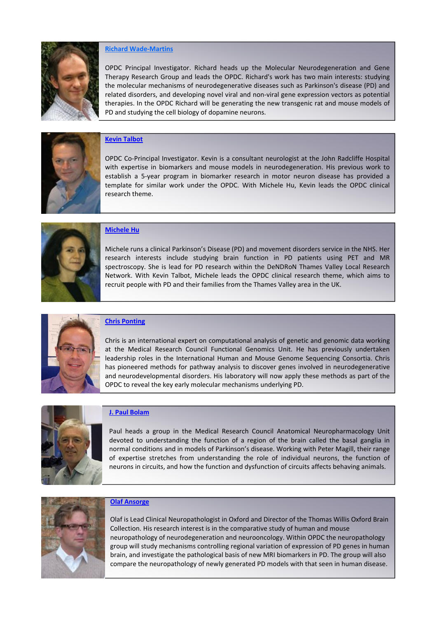

#### **Richard Wade‐Martins**

OPDC Principal Investigator. Richard heads up the Molecular Neurodegeneration and Gene Therapy Research Group and leads the OPDC. Richard's work has two main interests: studying the molecular mechanisms of neurodegenerative diseases such as Parkinson's disease (PD) and related disorders, and developing novel viral and non‐viral gene expression vectors as potential therapies. In the OPDC Richard will be generating the new transgenic rat and mouse models of PD and studying the cell biology of dopamine neurons.



# **Kevin Talbot**

OPDC Co‐Principal Investigator. Kevin is a consultant neurologist at the John Radcliffe Hospital with expertise in biomarkers and mouse models in neurodegeneration. His previous work to establish a 5‐year program in biomarker research in motor neuron disease has provided a template for similar work under the OPDC. With Michele Hu, Kevin leads the OPDC clinical research theme.



## **Michele Hu**

Michele runs a clinical Parkinson's Disease (PD) and movement disorders service in the NHS. Her research interests include studying brain function in PD patients using PET and MR spectroscopy. She is lead for PD research within the DeNDRoN Thames Valley Local Research Network. With Kevin Talbot, Michele leads the OPDC clinical research theme, which aims to recruit people with PD and their families from the Thames Valley area in the UK.



#### **Chris Ponting**

Chris is an international expert on computational analysis of genetic and genomic data working at the Medical Research Council Functional Genomics Unit. He has previously undertaken leadership roles in the International Human and Mouse Genome Sequencing Consortia. Chris has pioneered methods for pathway analysis to discover genes involved in neurodegenerative and neurodevelopmental disorders. His laboratory will now apply these methods as part of the OPDC to reveal the key early molecular mechanisms underlying PD.



#### **J. Paul Bolam**

Paul heads a group in the Medical Research Council Anatomical Neuropharmacology Unit devoted to understanding the function of a region of the brain called the basal ganglia in normal conditions and in models of Parkinson's disease. Working with Peter Magill, their range of expertise stretches from understanding the role of individual neurons, the function of neurons in circuits, and how the function and dysfunction of circuits affects behaving animals.



#### **Olaf Ansorge**

Olaf is Lead Clinical Neuropathologist in Oxford and Director of the Thomas Willis Oxford Brain Collection. His research interest is in the comparative study of human and mouse neuropathology of neurodegeneration and neurooncology. Within OPDC the neuropathology group will study mechanisms controlling regional variation of expression of PD genes in human brain, and investigate the pathological basis of new MRI biomarkers in PD. The group will also compare the neuropathology of newly generated PD models with that seen in human disease.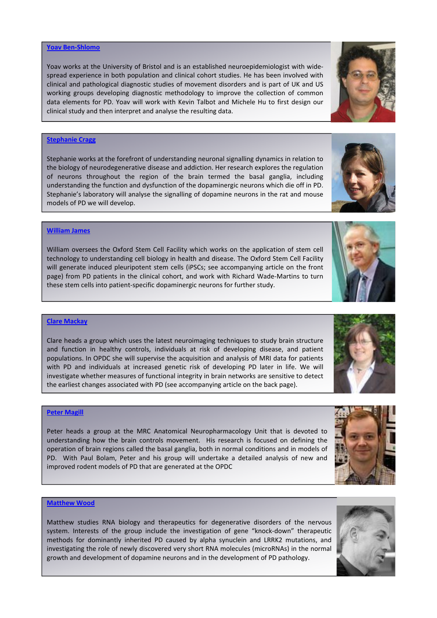#### **Yoav Ben‐Shlomo**

Yoav works at the University of Bristol and is an established neuroepidemiologist with wide‐ spread experience in both population and clinical cohort studies. He has been involved with clinical and pathological diagnostic studies of movement disorders and is part of UK and US working groups developing diagnostic methodology to improve the collection of common data elements for PD. Yoav will work with Kevin Talbot and Michele Hu to first design our clinical study and then interpret and analyse the resulting data.

## **Stephanie Cragg**

Stephanie works at the forefront of understanding neuronal signalling dynamics in relation to the biology of neurodegenerative disease and addiction. Her research explores the regulation of neurons throughout the region of the brain termed the basal ganglia, including understanding the function and dysfunction of the dopaminergic neurons which die off in PD. Stephanie's laboratory will analyse the signalling of dopamine neurons in the rat and mouse models of PD we will develop.

#### **William James**

William oversees the Oxford Stem Cell Facility which works on the application of stem cell technology to understanding cell biology in health and disease. The Oxford Stem Cell Facility will generate induced pleuripotent stem cells (iPSCs; see accompanying article on the front page) from PD patients in the clinical cohort, and work with Richard Wade‐Martins to turn these stem cells into patient‐specific dopaminergic neurons for further study.

# **Clare Mackay**

Clare heads a group which uses the latest neuroimaging techniques to study brain structure and function in healthy controls, individuals at risk of developing disease, and patient populations. In OPDC she will supervise the acquisition and analysis of MRI data for patients with PD and individuals at increased genetic risk of developing PD later in life. We will investigate whether measures of functional integrity in brain networks are sensitive to detect the earliest changes associated with PD (see accompanying article on the back page).

# **Peter Magill**

Peter heads a group at the MRC Anatomical Neuropharmacology Unit that is devoted to understanding how the brain controls movement. His research is focused on defining the operation of brain regions called the basal ganglia, both in normal conditions and in models of PD. With Paul Bolam, Peter and his group will undertake a detailed analysis of new and improved rodent models of PD that are generated at the OPDC

# **Matthew Wood**

Matthew studies RNA biology and therapeutics for degenerative disorders of the nervous system. Interests of the group include the investigation of gene "knock-down" therapeutic methods for dominantly inherited PD caused by alpha synuclein and LRRK2 mutations, and investigating the role of newly discovered very short RNA molecules (microRNAs) in the normal growth and development of dopamine neurons and in the development of PD pathology.